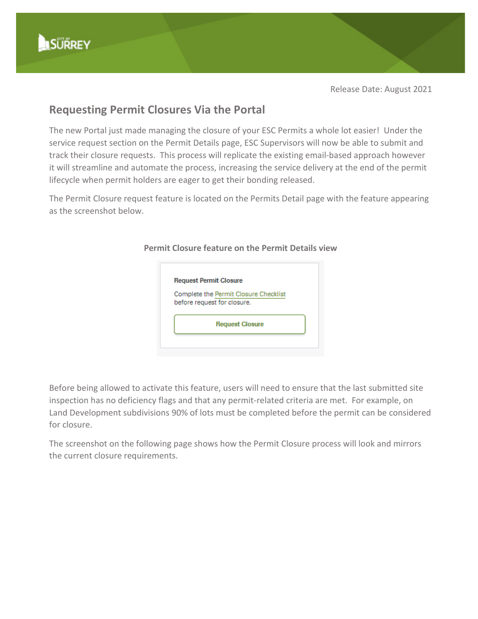Release Date: August 2021

## **Requesting Permit Closures Via the Portal**

The new Portal just made managing the closure of your ESC Permits a whole lot easier! Under the service request section on the Permit Details page, ESC Supervisors will now be able to submit and track their closure requests. This process will replicate the existing email-based approach however it will streamline and automate the process, increasing the service delivery at the end of the permit lifecycle when permit holders are eager to get their bonding released.

The Permit Closure request feature is located on the Permits Detail page with the feature appearing as the screenshot below.



## **Permit Closure feature on the Permit Details view**

Before being allowed to activate this feature, users will need to ensure that the last submitted site inspection has no deficiency flags and that any permit-related criteria are met. For example, on Land Development subdivisions 90% of lots must be completed before the permit can be considered for closure.

The screenshot on the following page shows how the Permit Closure process will look and mirrors the current closure requirements.